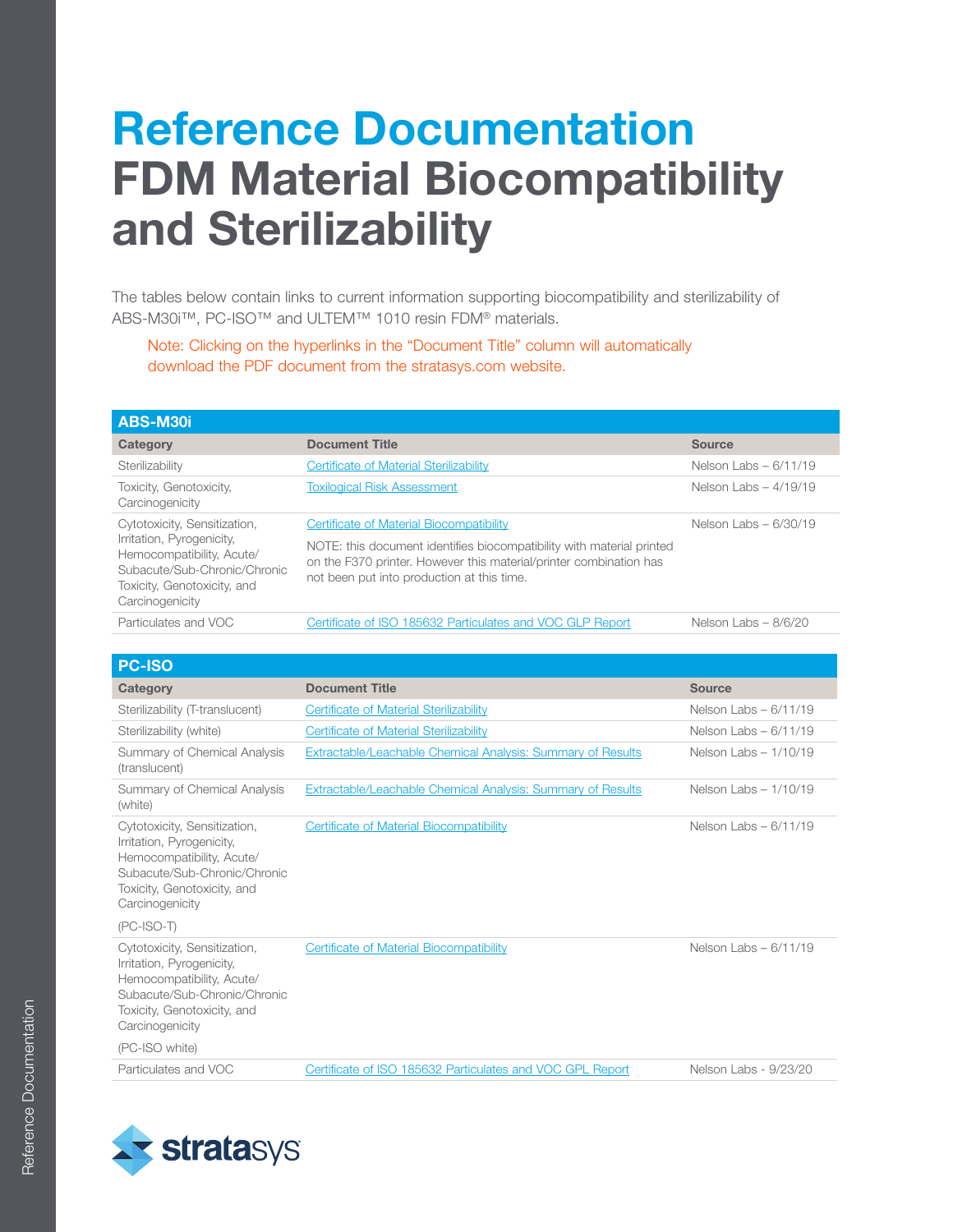## Reference Documentation FDM Material Biocompatibility and Sterilizability

The tables below contain links to current information supporting biocompatibility and sterilizability of ABS-M30i™, PC-ISO™ and ULTEM™ 1010 resin FDM® materials.

Note: Clicking on the hyperlinks in the "Document Title" column will automatically download the PDF document from the stratasys.com website.

| ABS-M30i                                                                                                                                                                 |                                                                                                                                                                                                                                       |                        |
|--------------------------------------------------------------------------------------------------------------------------------------------------------------------------|---------------------------------------------------------------------------------------------------------------------------------------------------------------------------------------------------------------------------------------|------------------------|
| Category                                                                                                                                                                 | <b>Document Title</b>                                                                                                                                                                                                                 | <b>Source</b>          |
| Sterilizability                                                                                                                                                          | Certificate of Material Sterilizability                                                                                                                                                                                               | Nelson Labs $-6/11/19$ |
| Toxicity, Genotoxicity,<br>Carcinogenicity                                                                                                                               | <b>Toxilogical Risk Assessment</b>                                                                                                                                                                                                    | Nelson Labs $-4/19/19$ |
| Cytotoxicity, Sensitization,<br>Irritation, Pyrogenicity,<br>Hemocompatibility, Acute/<br>Subacute/Sub-Chronic/Chronic<br>Toxicity, Genotoxicity, and<br>Carcinogenicity | Certificate of Material Biocompatibility<br>NOTE: this document identifies biocompatibility with material printed<br>on the F370 printer. However this material/printer combination has<br>not been put into production at this time. | Nelson Labs $-6/30/19$ |
| Particulates and VOC                                                                                                                                                     | Certificate of ISO 185632 Particulates and VOC GLP Report                                                                                                                                                                             | Nelson Labs $-8/6/20$  |

| <b>PC-ISO</b>                                                                                                                                                            |                                                             |                        |
|--------------------------------------------------------------------------------------------------------------------------------------------------------------------------|-------------------------------------------------------------|------------------------|
| Category                                                                                                                                                                 | <b>Document Title</b>                                       | <b>Source</b>          |
| Sterilizability (T-translucent)                                                                                                                                          | Certificate of Material Sterilizability                     | Nelson Labs $-6/11/19$ |
| Sterilizability (white)                                                                                                                                                  | Certificate of Material Sterilizability                     | Nelson Labs $-6/11/19$ |
| Summary of Chemical Analysis<br>(translucent)                                                                                                                            | Extractable/Leachable Chemical Analysis: Summary of Results | Nelson Labs $-1/10/19$ |
| Summary of Chemical Analysis<br>(white)                                                                                                                                  | Extractable/Leachable Chemical Analysis: Summary of Results | Nelson Labs $-1/10/19$ |
| Cytotoxicity, Sensitization,<br>Irritation, Pyrogenicity,<br>Hemocompatibility, Acute/<br>Subacute/Sub-Chronic/Chronic<br>Toxicity, Genotoxicity, and<br>Carcinogenicity | Certificate of Material Biocompatibility                    | Nelson Labs $-6/11/19$ |
| $(PC-ISO-T)$                                                                                                                                                             |                                                             |                        |
| Cytotoxicity, Sensitization,<br>Irritation, Pyrogenicity,<br>Hemocompatibility, Acute/<br>Subacute/Sub-Chronic/Chronic<br>Toxicity, Genotoxicity, and<br>Carcinogenicity | Certificate of Material Biocompatibility                    | Nelson Labs $-6/11/19$ |
| (PC-ISO white)                                                                                                                                                           |                                                             |                        |
| Particulates and VOC                                                                                                                                                     | Certificate of ISO 185632 Particulates and VOC GPL Report   | Nelson Labs - 9/23/20  |